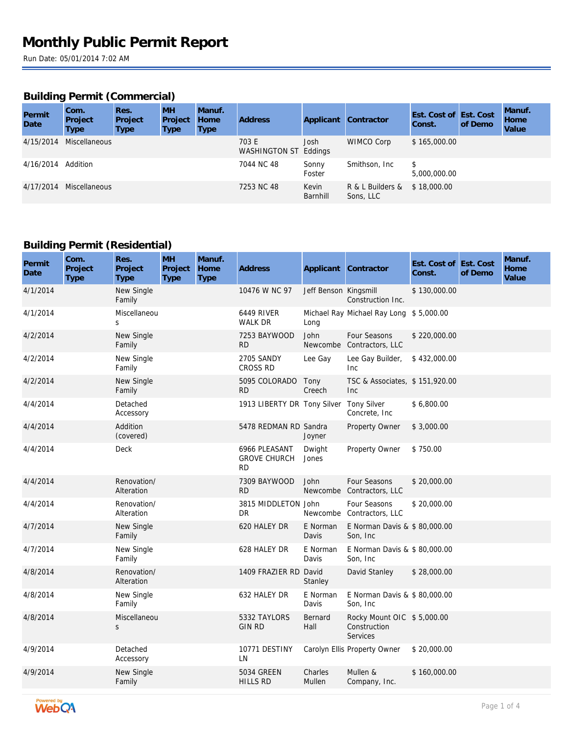### **Building Permit (Commercial)**

| Permit<br><b>Date</b> | Com.<br>Project<br>Type | Res.<br>Project<br>Type | <b>MH</b><br>Project<br>Type | Manuf.<br>Home<br><b>Type</b> | <b>Address</b>                 | Applicant         | <b>Contractor</b>             | Est. Cost of Est. Cost<br>Const. | of Demo | Manuf.<br>Home<br>Value |
|-----------------------|-------------------------|-------------------------|------------------------------|-------------------------------|--------------------------------|-------------------|-------------------------------|----------------------------------|---------|-------------------------|
| 4/15/2014             | <b>Miscellaneous</b>    |                         |                              |                               | 703 E<br>WASHINGTON ST Eddings | Josh              | WIMCO Corp                    | \$165,000.00                     |         |                         |
| 4/16/2014 Addition    |                         |                         |                              |                               | 7044 NC 48                     | Sonny<br>Foster   | Smithson, Inc                 | \$<br>5,000,000.00               |         |                         |
| 4/17/2014             | Miscellaneous           |                         |                              |                               | 7253 NC 48                     | Kevin<br>Barnhill | R & L Builders &<br>Sons, LLC | \$18,000.00                      |         |                         |

### **Building Permit (Residential)**

| Permit<br>Date | Com.<br>Project<br><b>Type</b> | Res.<br>Project<br><b>Type</b> | <b>MH</b><br>Project<br><b>Type</b> | Manuf.<br>Home<br><b>Type</b> | <b>Address</b>                                    |                       | Applicant Contractor                                          | Est. Cost of Est. Cost<br>Const. | of Demo | Manuf.<br>Home<br>Value |
|----------------|--------------------------------|--------------------------------|-------------------------------------|-------------------------------|---------------------------------------------------|-----------------------|---------------------------------------------------------------|----------------------------------|---------|-------------------------|
| 4/1/2014       |                                | New Single<br>Family           |                                     |                               | 10476 W NC 97                                     | Jeff Benson Kingsmill | Construction Inc.                                             | \$130,000.00                     |         |                         |
| 4/1/2014       |                                | Miscellaneou<br>S              |                                     |                               | <b>6449 RIVER</b><br><b>WALK DR</b>               | Long                  | Michael Ray Michael Ray Long \$5,000.00                       |                                  |         |                         |
| 4/2/2014       |                                | New Single<br>Family           |                                     |                               | 7253 BAYWOOD<br>RD.                               | John                  | Four Seasons<br>Newcombe Contractors, LLC                     | \$220,000.00                     |         |                         |
| 4/2/2014       |                                | New Single<br>Family           |                                     |                               | 2705 SANDY<br><b>CROSS RD</b>                     | Lee Gay               | Lee Gay Builder,<br>Inc                                       | \$432,000.00                     |         |                         |
| 4/2/2014       |                                | New Single<br>Family           |                                     |                               | 5095 COLORADO<br>RD.                              | Tony<br>Creech        | TSC & Associates, \$151,920.00<br>Inc                         |                                  |         |                         |
| 4/4/2014       |                                | Detached<br>Accessory          |                                     |                               | 1913 LIBERTY DR Tony Silver                       |                       | <b>Tony Silver</b><br>Concrete, Inc.                          | \$6,800.00                       |         |                         |
| 4/4/2014       |                                | Addition<br>(covered)          |                                     |                               | 5478 REDMAN RD Sandra                             | Joyner                | Property Owner                                                | \$3,000.00                       |         |                         |
| 4/4/2014       |                                | Deck                           |                                     |                               | 6966 PLEASANT<br><b>GROVE CHURCH</b><br><b>RD</b> | Dwight<br>Jones       | Property Owner                                                | \$750.00                         |         |                         |
| 4/4/2014       |                                | Renovation/<br>Alteration      |                                     |                               | 7309 BAYWOOD<br><b>RD</b>                         | John                  | Four Seasons<br>Newcombe Contractors, LLC                     | \$20,000.00                      |         |                         |
| 4/4/2014       |                                | Renovation/<br>Alteration      |                                     |                               | 3815 MIDDLETON John<br>DR.                        |                       | Four Seasons<br>Newcombe Contractors, LLC                     | \$20,000.00                      |         |                         |
| 4/7/2014       |                                | New Single<br>Family           |                                     |                               | 620 HALEY DR                                      | E Norman<br>Davis     | E Norman Davis & \$80,000.00<br>Son, Inc                      |                                  |         |                         |
| 4/7/2014       |                                | New Single<br>Family           |                                     |                               | 628 HALEY DR                                      | E Norman<br>Davis     | E Norman Davis & \$80,000.00<br>Son, Inc                      |                                  |         |                         |
| 4/8/2014       |                                | Renovation/<br>Alteration      |                                     |                               | 1409 FRAZIER RD David                             | Stanley               | David Stanley                                                 | \$28,000.00                      |         |                         |
| 4/8/2014       |                                | New Single<br>Family           |                                     |                               | 632 HALEY DR                                      | E Norman<br>Davis     | E Norman Davis & \$80,000.00<br>Son, Inc                      |                                  |         |                         |
| 4/8/2014       |                                | Miscellaneou<br>S              |                                     |                               | 5332 TAYLORS<br><b>GIN RD</b>                     | Bernard<br>Hall       | Rocky Mount OIC \$5,000.00<br>Construction<br><b>Services</b> |                                  |         |                         |
| 4/9/2014       |                                | Detached<br>Accessory          |                                     |                               | 10771 DESTINY<br>LN                               |                       | Carolyn Ellis Property Owner                                  | \$20,000.00                      |         |                         |
| 4/9/2014       |                                | New Single<br>Family           |                                     |                               | 5034 GREEN<br>HILLS RD                            | Charles<br>Mullen     | Mullen &<br>Company, Inc.                                     | \$160,000.00                     |         |                         |

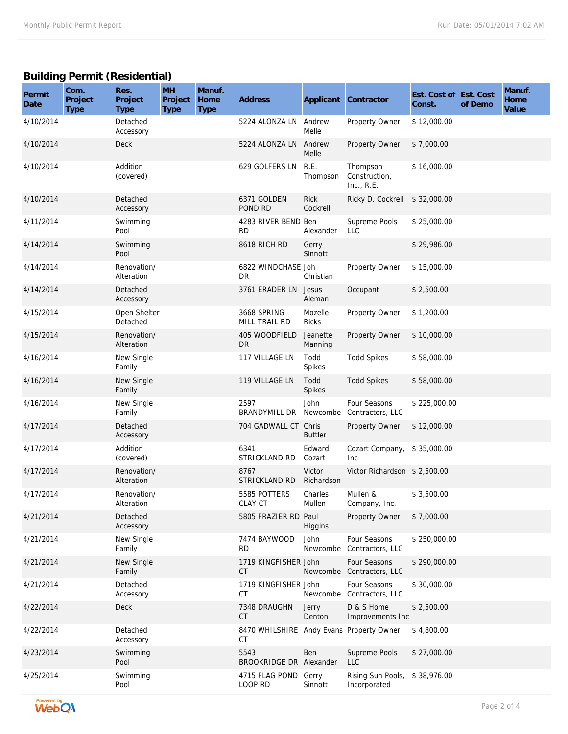# **Building Permit (Residential)**

| Permit<br>Date | Com.<br>Project<br><b>Type</b> | Res.<br>Project<br>Type   | <b>MH</b><br>Project<br>Type | Manuf.<br>Home<br><b>Type</b> | Address                                        | Applicant               | Contractor                                | Est. Cost of Est. Cost<br>Const. | of Demo | Manuf.<br>Home<br>Value |
|----------------|--------------------------------|---------------------------|------------------------------|-------------------------------|------------------------------------------------|-------------------------|-------------------------------------------|----------------------------------|---------|-------------------------|
| 4/10/2014      |                                | Detached<br>Accessory     |                              |                               | 5224 ALONZA LN Andrew                          | Melle                   | Property Owner                            | \$12,000.00                      |         |                         |
| 4/10/2014      |                                | Deck                      |                              |                               | 5224 ALONZA LN Andrew                          | Melle                   | Property Owner                            | \$7,000.00                       |         |                         |
| 4/10/2014      |                                | Addition<br>(covered)     |                              |                               | 629 GOLFERS LN                                 | R.E.<br>Thompson        | Thompson<br>Construction,<br>Inc., $R.E.$ | \$16,000.00                      |         |                         |
| 4/10/2014      |                                | Detached<br>Accessory     |                              |                               | 6371 GOLDEN<br>POND RD                         | <b>Rick</b><br>Cockrell | Ricky D. Cockrell                         | \$32,000.00                      |         |                         |
| 4/11/2014      |                                | Swimming<br>Pool          |                              |                               | 4283 RIVER BEND Ben<br><b>RD</b>               | Alexander               | Supreme Pools<br><b>LLC</b>               | \$25,000.00                      |         |                         |
| 4/14/2014      |                                | Swimming<br>Pool          |                              |                               | 8618 RICH RD                                   | Gerry<br>Sinnott        |                                           | \$29,986.00                      |         |                         |
| 4/14/2014      |                                | Renovation/<br>Alteration |                              |                               | 6822 WINDCHASE Joh<br><b>DR</b>                | Christian               | Property Owner                            | \$15,000.00                      |         |                         |
| 4/14/2014      |                                | Detached<br>Accessory     |                              |                               | 3761 ERADER LN                                 | Jesus<br>Aleman         | Occupant                                  | \$2,500.00                       |         |                         |
| 4/15/2014      |                                | Open Shelter<br>Detached  |                              |                               | 3668 SPRING<br>MILL TRAIL RD                   | Mozelle<br><b>Ricks</b> | Property Owner                            | \$1,200.00                       |         |                         |
| 4/15/2014      |                                | Renovation/<br>Alteration |                              |                               | 405 WOODFIELD<br><b>DR</b>                     | Jeanette<br>Manning     | Property Owner                            | \$10,000.00                      |         |                         |
| 4/16/2014      |                                | New Single<br>Family      |                              |                               | 117 VILLAGE LN                                 | Todd<br>Spikes          | <b>Todd Spikes</b>                        | \$58,000.00                      |         |                         |
| 4/16/2014      |                                | New Single<br>Family      |                              |                               | 119 VILLAGE LN                                 | Todd<br>Spikes          | <b>Todd Spikes</b>                        | \$58,000.00                      |         |                         |
| 4/16/2014      |                                | New Single<br>Family      |                              |                               | 2597<br>BRANDYMILL DR                          | John<br>Newcombe        | Four Seasons<br>Contractors, LLC          | \$225,000.00                     |         |                         |
| 4/17/2014      |                                | Detached<br>Accessory     |                              |                               | 704 GADWALL CT                                 | Chris<br><b>Buttler</b> | Property Owner                            | \$12,000.00                      |         |                         |
| 4/17/2014      |                                | Addition<br>(covered)     |                              |                               | 6341<br>STRICKLAND RD                          | Edward<br>Cozart        | Cozart Company,<br><b>Inc</b>             | \$35,000.00                      |         |                         |
| 4/17/2014      |                                | Renovation/<br>Alteration |                              |                               | 8767<br>STRICKLAND RD                          | Victor<br>Richardson    | Victor Richardson \$2,500.00              |                                  |         |                         |
| 4/17/2014      |                                | Renovation/<br>Alteration |                              |                               | 5585 POTTERS<br>CLAY CT                        | Charles<br>Mullen       | Mullen &<br>Company, Inc.                 | \$3,500.00                       |         |                         |
| 4/21/2014      |                                | Detached<br>Accessory     |                              |                               | 5805 FRAZIER RD Paul                           | Higgins                 | Property Owner                            | \$7,000.00                       |         |                         |
| 4/21/2014      |                                | New Single<br>Family      |                              |                               | 7474 BAYWOOD<br><b>RD</b>                      | John<br>Newcombe        | Four Seasons<br>Contractors, LLC          | \$250,000.00                     |         |                         |
| 4/21/2014      |                                | New Single<br>Family      |                              |                               | 1719 KINGFISHER John<br><b>CT</b>              |                         | Four Seasons<br>Newcombe Contractors, LLC | \$290,000.00                     |         |                         |
| 4/21/2014      |                                | Detached<br>Accessory     |                              |                               | 1719 KINGFISHER John<br>СT                     | Newcombe                | Four Seasons<br>Contractors, LLC          | \$30,000.00                      |         |                         |
| 4/22/2014      |                                | Deck                      |                              |                               | 7348 DRAUGHN<br>CT.                            | Jerry<br>Denton         | D & S Home<br>Improvements Inc            | \$2,500.00                       |         |                         |
| 4/22/2014      |                                | Detached<br>Accessory     |                              |                               | 8470 WHILSHIRE Andy Evans Property Owner<br>СT |                         |                                           | \$4,800.00                       |         |                         |
| 4/23/2014      |                                | Swimming<br>Pool          |                              |                               | 5543<br>BROOKRIDGE DR Alexander                | Ben                     | Supreme Pools<br>LLC                      | \$27,000.00                      |         |                         |
| 4/25/2014      |                                | Swimming<br>Pool          |                              |                               | 4715 FLAG POND<br>LOOP RD                      | Gerry<br>Sinnott        | Rising Sun Pools,<br>Incorporated         | \$38,976.00                      |         |                         |

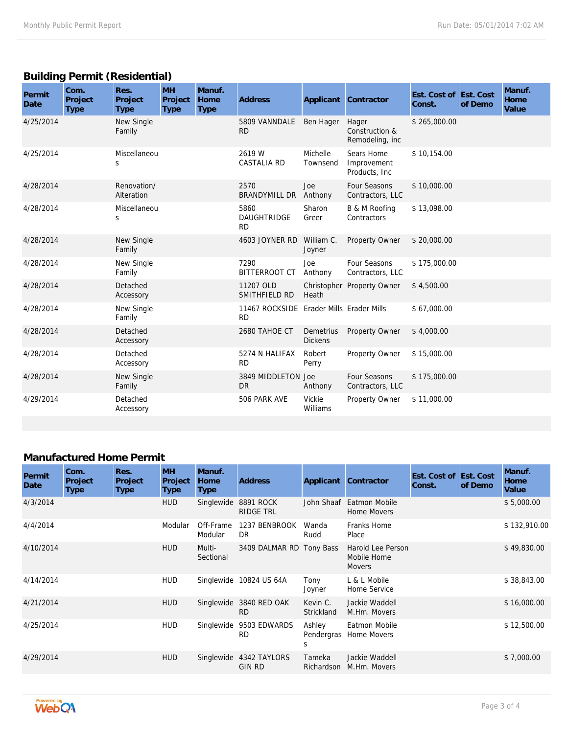# **Building Permit (Residential)**

| Permit<br>Date | Com.<br>Project<br><b>Type</b> | Res.<br>Project<br>Type   | <b>MH</b><br>Project<br><b>Type</b> | Manuf.<br>Home<br><b>Type</b> | <b>Address</b>                                        |                             | Applicant Contractor                       | Est. Cost of Est. Cost<br>Const. | of Demo | Manuf.<br>Home<br>Value |
|----------------|--------------------------------|---------------------------|-------------------------------------|-------------------------------|-------------------------------------------------------|-----------------------------|--------------------------------------------|----------------------------------|---------|-------------------------|
| 4/25/2014      |                                | New Single<br>Family      |                                     |                               | 5809 VANNDALE<br><b>RD</b>                            | Ben Hager                   | Hager<br>Construction &<br>Remodeling, inc | \$265,000.00                     |         |                         |
| 4/25/2014      |                                | Miscellaneou<br>S         |                                     |                               | 2619 W<br><b>CASTALIA RD</b>                          | Michelle<br>Townsend        | Sears Home<br>Improvement<br>Products, Inc | \$10,154.00                      |         |                         |
| 4/28/2014      |                                | Renovation/<br>Alteration |                                     |                               | 2570<br>BRANDYMILL DR                                 | Joe<br>Anthony              | Four Seasons<br>Contractors, LLC           | \$10,000.00                      |         |                         |
| 4/28/2014      |                                | Miscellaneou<br>S         |                                     |                               | 5860<br><b>DAUGHTRIDGE</b><br><b>RD</b>               | Sharon<br>Greer             | B & M Roofing<br>Contractors               | \$13,098.00                      |         |                         |
| 4/28/2014      |                                | New Single<br>Family      |                                     |                               | 4603 JOYNER RD                                        | William C.<br>Joyner        | Property Owner                             | \$20,000.00                      |         |                         |
| 4/28/2014      |                                | New Single<br>Family      |                                     |                               | 7290<br><b>BITTERROOT CT</b>                          | Joe<br>Anthony              | Four Seasons<br>Contractors, LLC           | \$175,000.00                     |         |                         |
| 4/28/2014      |                                | Detached<br>Accessory     |                                     |                               | 11207 OLD<br>SMITHFIELD RD                            | Heath                       | Christopher Property Owner                 | \$4,500.00                       |         |                         |
| 4/28/2014      |                                | New Single<br>Family      |                                     |                               | 11467 ROCKSIDE Erader Mills Erader Mills<br><b>RD</b> |                             |                                            | \$67,000.00                      |         |                         |
| 4/28/2014      |                                | Detached<br>Accessory     |                                     |                               | 2680 TAHOE CT                                         | Demetrius<br><b>Dickens</b> | Property Owner                             | \$4,000.00                       |         |                         |
| 4/28/2014      |                                | Detached<br>Accessory     |                                     |                               | 5274 N HALIFAX<br><b>RD</b>                           | Robert<br>Perry             | Property Owner                             | \$15,000.00                      |         |                         |
| 4/28/2014      |                                | New Single<br>Family      |                                     |                               | 3849 MIDDLETON Joe<br><b>DR</b>                       | Anthony                     | Four Seasons<br>Contractors, LLC           | \$175,000.00                     |         |                         |
| 4/29/2014      |                                | Detached<br>Accessory     |                                     |                               | 506 PARK AVE                                          | Vickie<br>Williams          | Property Owner                             | \$11,000.00                      |         |                         |

### **Manufactured Home Permit**

| Permit<br>Date | Com.<br>Project<br>Type | Res.<br>Project<br><b>Type</b> | <b>MH</b><br>Project<br>Type | Manuf.<br>Home<br><b>Type</b> | Address                              | Applicant                 | Contractor                                        | Est. Cost of Est. Cost<br>Const. | of Demo | Manuf.<br>Home<br>Value |
|----------------|-------------------------|--------------------------------|------------------------------|-------------------------------|--------------------------------------|---------------------------|---------------------------------------------------|----------------------------------|---------|-------------------------|
| 4/3/2014       |                         |                                | <b>HUD</b>                   | Singlewide                    | 8891 ROCK<br><b>RIDGE TRL</b>        | John Shaaf                | Eatmon Mobile<br><b>Home Movers</b>               |                                  |         | \$5,000.00              |
| 4/4/2014       |                         |                                | Modular                      | Off-Frame<br>Modular          | 1237 BENBROOK<br>DR.                 | Wanda<br>Rudd             | Franks Home<br>Place                              |                                  |         | \$132,910.00            |
| 4/10/2014      |                         |                                | <b>HUD</b>                   | Multi-<br>Sectional           | 3409 DALMAR RD Tony Bass             |                           | Harold Lee Person<br>Mobile Home<br><b>Movers</b> |                                  |         | \$49,830.00             |
| 4/14/2014      |                         |                                | <b>HUD</b>                   |                               | Singlewide 10824 US 64A              | Tony<br>Joyner            | L & L Mobile<br>Home Service                      |                                  |         | \$38,843.00             |
| 4/21/2014      |                         |                                | <b>HUD</b>                   |                               | Singlewide 3840 RED OAK<br><b>RD</b> | Kevin C.<br>Strickland    | Jackie Waddell<br>M.Hm. Movers                    |                                  |         | \$16,000.00             |
| 4/25/2014      |                         |                                | <b>HUD</b>                   | Singlewide                    | 9503 EDWARDS<br><b>RD</b>            | Ashley<br>Pendergras<br>S | Eatmon Mobile<br>Home Movers                      |                                  |         | \$12,500.00             |
| 4/29/2014      |                         |                                | <b>HUD</b>                   | Singlewide                    | 4342 TAYLORS<br><b>GIN RD</b>        | Tameka<br>Richardson      | Jackie Waddell<br>M.Hm. Movers                    |                                  |         | \$7,000.00              |